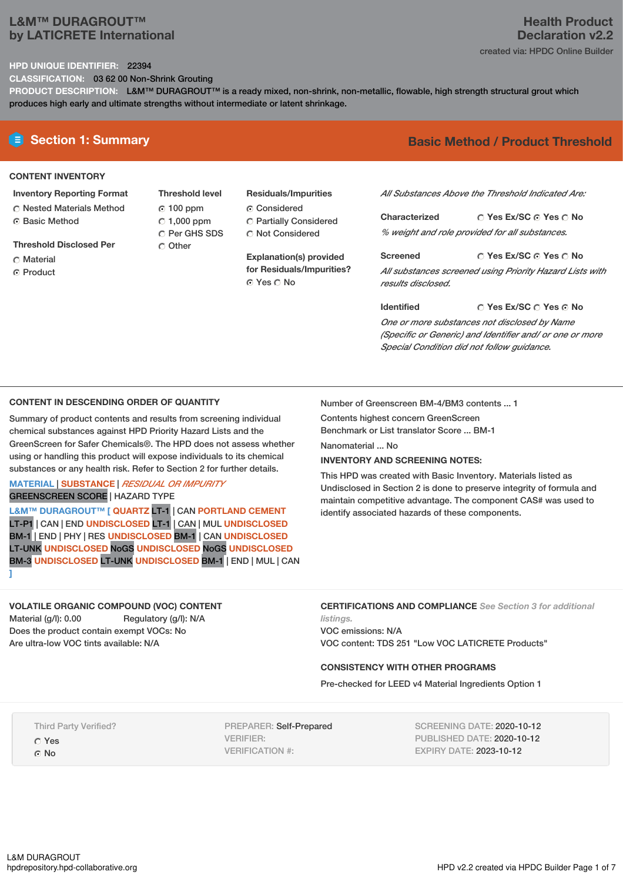# **L&M™ DURAGROUT™ by LATICRETE International**

# **Health Product Declaration v2.2** created via: HPDC Online Builder

#### **HPD UNIQUE IDENTIFIER:** 22394

**CLASSIFICATION:** 03 62 00 Non-Shrink Grouting

**PRODUCT DESCRIPTION:** L&M™ DURAGROUT™ is a ready mixed, non-shrink, non-metallic, flowable, high strength structural grout which produces high early and ultimate strengths without intermediate or latent shrinkage.

## **CONTENT INVENTORY**

- **Inventory Reporting Format**
- Nested Materials Method **G** Basic Method
- **Threshold Disclosed Per**
- C Material
- **C** Product

**Threshold level** 100 ppm  $C$  1,000 ppm C Per GHS SDS C Other

**Residuals/Impurities**

- C Considered
- Partially Considered Not Considered

**Explanation(s) provided for Residuals/Impurities?** ⊙ Yes ∩ No

# **E** Section 1: Summary **Basic Method / Product Threshold**

*All Substances Above the Threshold Indicated Are:*

**Yes Ex/SC Yes No Characterized** *% weight and role provided for all substances.*

**Yes Ex/SC Yes No Screened** *All substances screened using Priority Hazard Lists with results disclosed.*

**Identified**

## **Yes Ex/SC Yes No**

*One or more substances not disclosed by Name (Specific or Generic) and Identifier and/ or one or more Special Condition did not follow guidance.*

## **CONTENT IN DESCENDING ORDER OF QUANTITY**

Summary of product contents and results from screening individual chemical substances against HPD Priority Hazard Lists and the GreenScreen for Safer Chemicals®. The HPD does not assess whether using or handling this product will expose individuals to its chemical substances or any health risk. Refer to Section 2 for further details.

**MATERIAL** | **SUBSTANCE** | *RESIDUAL OR IMPURITY* GREENSCREEN SCORE | HAZARD TYPE

**L&M™ DURAGROUT™ [ QUARTZ** LT-1 | CAN **PORTLAND CEMENT** LT-P1 | CAN | END **UNDISCLOSED** LT-1 | CAN | MUL **UNDISCLOSED** BM-1 | END | PHY | RES **UNDISCLOSED** BM-1 | CAN **UNDISCLOSED** LT-UNK **UNDISCLOSED** NoGS **UNDISCLOSED** NoGS **UNDISCLOSED** BM-3 **UNDISCLOSED** LT-UNK **UNDISCLOSED** BM-1 | END | MUL | CAN **]**

### Number of Greenscreen BM-4/BM3 contents ... 1

Contents highest concern GreenScreen Benchmark or List translator Score ... BM-1 Nanomaterial ... No.

**INVENTORY AND SCREENING NOTES:**

This HPD was created with Basic Inventory. Materials listed as Undisclosed in Section 2 is done to preserve integrity of formula and maintain competitive advantage. The component CAS# was used to identify associated hazards of these components.

# **VOLATILE ORGANIC COMPOUND (VOC) CONTENT**

Material (g/l): 0.00 Regulatory (g/l): N/A Does the product contain exempt VOCs: No Are ultra-low VOC tints available: N/A

**CERTIFICATIONS AND COMPLIANCE** *See Section 3 for additional listings.*

VOC emissions: N/A VOC content: TDS 251 "Low VOC LATICRETE Products"

### **CONSISTENCY WITH OTHER PROGRAMS**

Pre-checked for LEED v4 Material Ingredients Option 1

Third Party Verified?

Yes

G No

PREPARER: Self-Prepared VERIFIER: VERIFICATION #:

SCREENING DATE: 2020-10-12 PUBLISHED DATE: 2020-10-12 EXPIRY DATE: 2023-10-12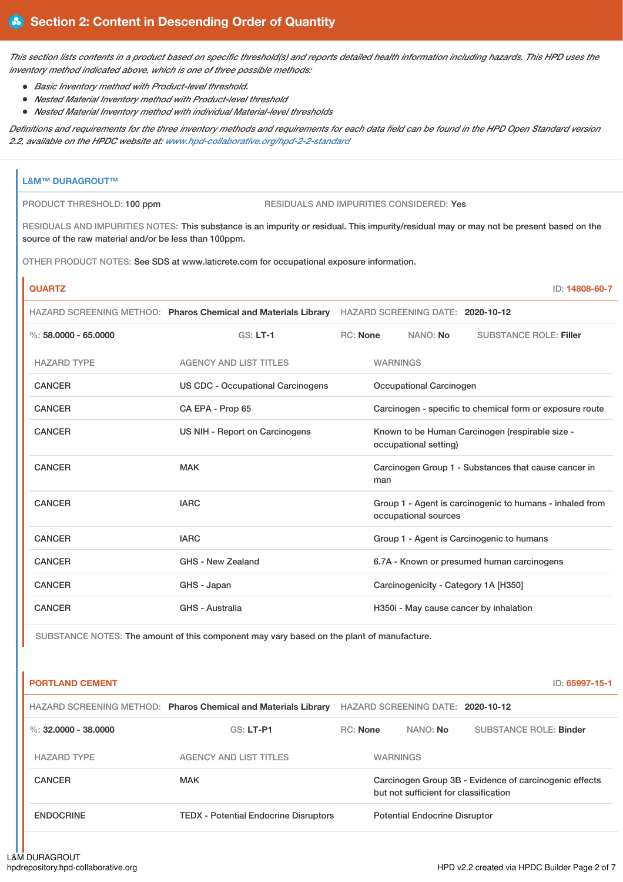This section lists contents in a product based on specific threshold(s) and reports detailed health information including hazards. This HPD uses the *inventory method indicated above, which is one of three possible methods:*

- *Basic Inventory method with Product-level threshold.*
- *Nested Material Inventory method with Product-level threshold*
- *Nested Material Inventory method with individual Material-level thresholds*

Definitions and requirements for the three inventory methods and requirements for each data field can be found in the HPD Open Standard version *2.2, available on the HPDC website at: [www.hpd-collaborative.org/hpd-2-2-standard](https://www.hpd-collaborative.org/hpd-2-2-standard)*

# **L&M™ DURAGROUT™** PRODUCT THRESHOLD: 100 ppm RESIDUALS AND IMPURITIES CONSIDERED: Yes RESIDUALS AND IMPURITIES NOTES: This substance is an impurity or residual. This impurity/residual may or may not be present based on the source of the raw material and/or be less than 100ppm. OTHER PRODUCT NOTES: See SDS at www.laticrete.com for occupational exposure information. **QUARTZ** ID: **14808-60-7** HAZARD SCREENING METHOD: **Pharos Chemical and Materials Library** HAZARD SCREENING DATE: **2020-10-12** %: **58.0000 - 65.0000** GS: **LT-1** RC: **None** NANO: **No** SUBSTANCE ROLE: **Filler** HAZARD TYPE AGENCY AND LIST TITLES WARNINGS CANCER US CDC - Occupational Carcinogens Occupational Carcinogen CANCER CA EPA - Prop 65 Carcinogen - specific to chemical form or exposure route CANCER **EXAMCER** US NIH - Report on Carcinogens Known to be Human Carcinogen (respirable size occupational setting) CANCER MAK MAK Carcinogen Group 1 - Substances that cause cancer in man CANCER **IARC** IARC **GROUP 1** - Agent is carcinogenic to humans - inhaled from occupational sources CANCER **IARC** IARC **GROUP 1** - Agent is Carcinogenic to humans

| <b>CANCER</b> | GHS - New Zealand | 6.7A - Known or presumed human carcinogens |
|---------------|-------------------|--------------------------------------------|
| <b>CANCER</b> | GHS - Japan       | Carcinogenicity - Category 1A [H350]       |
| <b>CANCER</b> | GHS - Australia   | H350i - May cause cancer by inhalation     |

SUBSTANCE NOTES: The amount of this component may vary based on the plant of manufacture.

| <b>PORTLAND CEMENT</b> |                                                                |                 |                                       | ID: 65997-15-1                                         |
|------------------------|----------------------------------------------------------------|-----------------|---------------------------------------|--------------------------------------------------------|
|                        | HAZARD SCREENING METHOD: Pharos Chemical and Materials Library |                 | HAZARD SCREENING DATE: 2020-10-12     |                                                        |
| %: $32,0000 - 38,0000$ | $GS: LT-PI$                                                    | <b>RC:</b> None | NANO: No                              | <b>SUBSTANCE ROLE: Binder</b>                          |
| <b>HAZARD TYPE</b>     | <b>AGENCY AND LIST TITLES</b>                                  |                 | <b>WARNINGS</b>                       |                                                        |
| <b>CANCER</b>          | <b>MAK</b>                                                     |                 | but not sufficient for classification | Carcinogen Group 3B - Evidence of carcinogenic effects |
| <b>ENDOCRINE</b>       | <b>TEDX</b> - Potential Endocrine Disruptors                   |                 | <b>Potential Endocrine Disruptor</b>  |                                                        |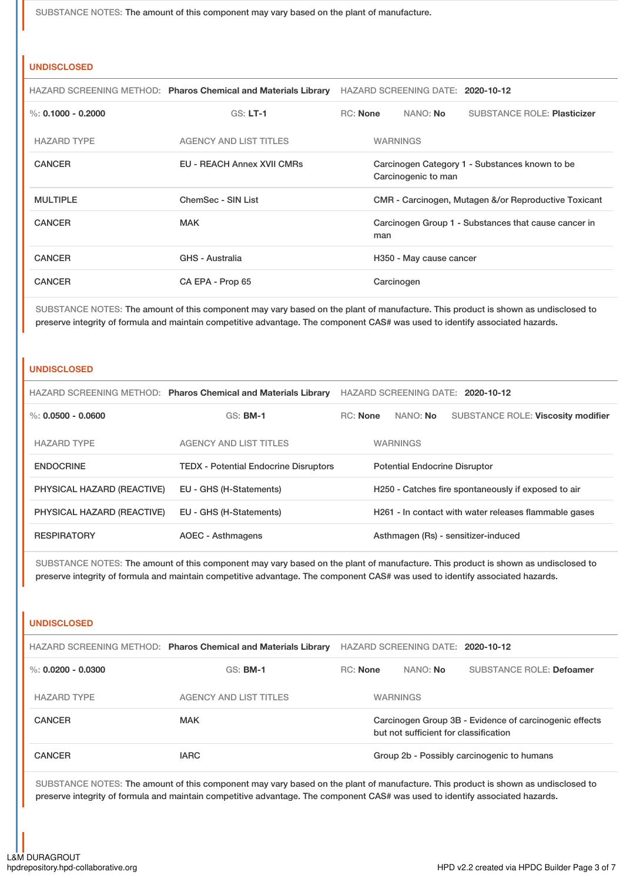SUBSTANCE NOTES: The amount of this component may vary based on the plant of manufacture.

#### **UNDISCLOSED**

|                      | HAZARD SCREENING METHOD: Pharos Chemical and Materials Library | HAZARD SCREENING DATE: 2020-10-12                                     |            |                         |                                                      |
|----------------------|----------------------------------------------------------------|-----------------------------------------------------------------------|------------|-------------------------|------------------------------------------------------|
| %: $0.1000 - 0.2000$ | $GS: LT-1$                                                     | RC: None                                                              |            | NANO: No                | <b>SUBSTANCE ROLE: Plasticizer</b>                   |
| <b>HAZARD TYPE</b>   | <b>AGENCY AND LIST TITLES</b>                                  | <b>WARNINGS</b>                                                       |            |                         |                                                      |
| <b>CANCER</b>        | <b>EU - REACH Annex XVII CMRs</b>                              | Carcinogen Category 1 - Substances known to be<br>Carcinogenic to man |            |                         |                                                      |
| <b>MULTIPLE</b>      | ChemSec - SIN List                                             |                                                                       |            |                         | CMR - Carcinogen, Mutagen &/or Reproductive Toxicant |
| <b>CANCER</b>        | <b>MAK</b>                                                     | Carcinogen Group 1 - Substances that cause cancer in<br>man           |            |                         |                                                      |
| <b>CANCER</b>        | <b>GHS - Australia</b>                                         |                                                                       |            | H350 - May cause cancer |                                                      |
| <b>CANCER</b>        | CA EPA - Prop 65                                               |                                                                       | Carcinogen |                         |                                                      |

SUBSTANCE NOTES: The amount of this component may vary based on the plant of manufacture. This product is shown as undisclosed to preserve integrity of formula and maintain competitive advantage. The component CAS# was used to identify associated hazards.

#### **UNDISCLOSED**

|                            | HAZARD SCREENING METHOD: Pharos Chemical and Materials Library | HAZARD SCREENING DATE: 2020-10-12    |                                                     |                 |                                                       |
|----------------------------|----------------------------------------------------------------|--------------------------------------|-----------------------------------------------------|-----------------|-------------------------------------------------------|
| %: $0.0500 - 0.0600$       | $GS:$ BM-1                                                     | $RC:$ None                           |                                                     | NANO: <b>No</b> | <b>SUBSTANCE ROLE: Viscosity modifier</b>             |
| <b>HAZARD TYPE</b>         | AGENCY AND LIST TITLES                                         | <b>WARNINGS</b>                      |                                                     |                 |                                                       |
| <b>ENDOCRINE</b>           | <b>TEDX</b> - Potential Endocrine Disruptors                   | <b>Potential Endocrine Disruptor</b> |                                                     |                 |                                                       |
| PHYSICAL HAZARD (REACTIVE) | EU - GHS (H-Statements)                                        |                                      | H250 - Catches fire spontaneously if exposed to air |                 |                                                       |
| PHYSICAL HAZARD (REACTIVE) | EU - GHS (H-Statements)                                        |                                      |                                                     |                 | H261 - In contact with water releases flammable gases |
| <b>RESPIRATORY</b>         | <b>AOEC - Asthmagens</b>                                       |                                      |                                                     |                 | Asthmagen (Rs) - sensitizer-induced                   |

SUBSTANCE NOTES: The amount of this component may vary based on the plant of manufacture. This product is shown as undisclosed to preserve integrity of formula and maintain competitive advantage. The component CAS# was used to identify associated hazards.

#### **UNDISCLOSED**

|                      | HAZARD SCREENING METHOD: Pharos Chemical and Materials Library |                                                                                                 | HAZARD SCREENING DATE: 2020-10-12 |                                            |
|----------------------|----------------------------------------------------------------|-------------------------------------------------------------------------------------------------|-----------------------------------|--------------------------------------------|
| %: $0.0200 - 0.0300$ | $GS:$ BM-1                                                     | <b>RC:</b> None                                                                                 | NANO: No                          | <b>SUBSTANCE ROLE: Defoamer</b>            |
| <b>HAZARD TYPE</b>   | AGENCY AND LIST TITLES                                         |                                                                                                 | <b>WARNINGS</b>                   |                                            |
| <b>CANCER</b>        | <b>MAK</b>                                                     | Carcinogen Group 3B - Evidence of carcinogenic effects<br>but not sufficient for classification |                                   |                                            |
| <b>CANCER</b>        | <b>IARC</b>                                                    |                                                                                                 |                                   | Group 2b - Possibly carcinogenic to humans |

SUBSTANCE NOTES: The amount of this component may vary based on the plant of manufacture. This product is shown as undisclosed to preserve integrity of formula and maintain competitive advantage. The component CAS# was used to identify associated hazards.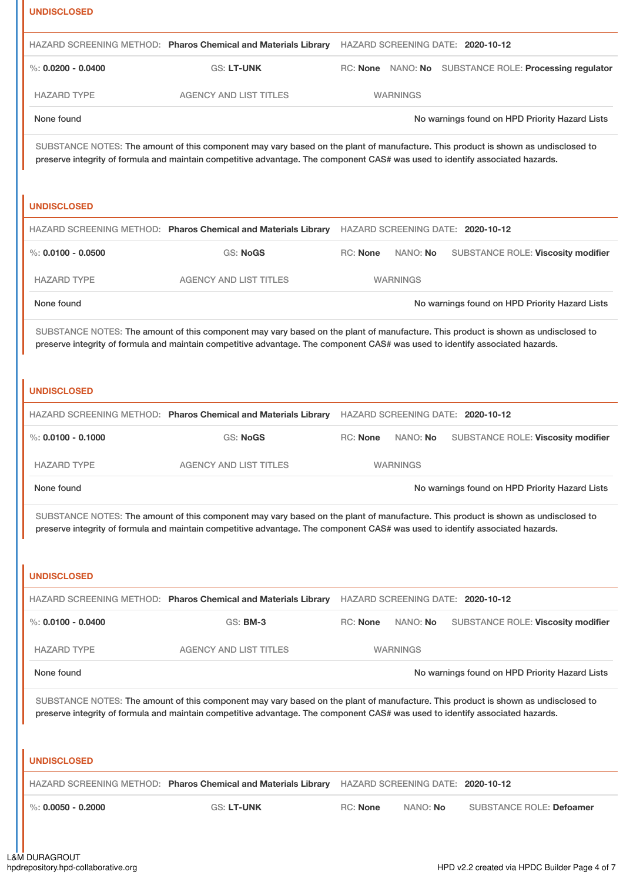| <b>UNDISCLOSED</b>                                                                                                                                                                                                                                                                       |                                                                |                                                                                                                                                                                                                                                                    |  |  |
|------------------------------------------------------------------------------------------------------------------------------------------------------------------------------------------------------------------------------------------------------------------------------------------|----------------------------------------------------------------|--------------------------------------------------------------------------------------------------------------------------------------------------------------------------------------------------------------------------------------------------------------------|--|--|
|                                                                                                                                                                                                                                                                                          | HAZARD SCREENING METHOD: Pharos Chemical and Materials Library | HAZARD SCREENING DATE: 2020-10-12                                                                                                                                                                                                                                  |  |  |
| %: $0.0200 - 0.0400$                                                                                                                                                                                                                                                                     | GS: LT-UNK                                                     | RC: None NANO: No SUBSTANCE ROLE: Processing regulator                                                                                                                                                                                                             |  |  |
| <b>HAZARD TYPE</b>                                                                                                                                                                                                                                                                       | <b>AGENCY AND LIST TITLES</b>                                  | <b>WARNINGS</b>                                                                                                                                                                                                                                                    |  |  |
| None found                                                                                                                                                                                                                                                                               |                                                                | No warnings found on HPD Priority Hazard Lists                                                                                                                                                                                                                     |  |  |
|                                                                                                                                                                                                                                                                                          |                                                                | SUBSTANCE NOTES: The amount of this component may vary based on the plant of manufacture. This product is shown as undisclosed to<br>preserve integrity of formula and maintain competitive advantage. The component CAS# was used to identify associated hazards. |  |  |
| <b>UNDISCLOSED</b>                                                                                                                                                                                                                                                                       |                                                                |                                                                                                                                                                                                                                                                    |  |  |
|                                                                                                                                                                                                                                                                                          | HAZARD SCREENING METHOD: Pharos Chemical and Materials Library | HAZARD SCREENING DATE: 2020-10-12                                                                                                                                                                                                                                  |  |  |
| $\%$ : 0.0100 - 0.0500                                                                                                                                                                                                                                                                   | <b>GS: NoGS</b>                                                | RC: None<br>NANO: No<br>SUBSTANCE ROLE: Viscosity modifier                                                                                                                                                                                                         |  |  |
| <b>HAZARD TYPE</b>                                                                                                                                                                                                                                                                       | <b>AGENCY AND LIST TITLES</b>                                  | <b>WARNINGS</b>                                                                                                                                                                                                                                                    |  |  |
| None found                                                                                                                                                                                                                                                                               |                                                                | No warnings found on HPD Priority Hazard Lists                                                                                                                                                                                                                     |  |  |
| <b>UNDISCLOSED</b>                                                                                                                                                                                                                                                                       |                                                                | SUBSTANCE NOTES: The amount of this component may vary based on the plant of manufacture. This product is shown as undisclosed to<br>preserve integrity of formula and maintain competitive advantage. The component CAS# was used to identify associated hazards. |  |  |
|                                                                                                                                                                                                                                                                                          |                                                                | HAZARD SCREENING METHOD: Pharos Chemical and Materials Library HAZARD SCREENING DATE: 2020-10-12                                                                                                                                                                   |  |  |
| $\%$ : 0.0100 - 0.1000                                                                                                                                                                                                                                                                   | <b>GS: NoGS</b>                                                | RC: None<br>NANO: No<br>SUBSTANCE ROLE: Viscosity modifier                                                                                                                                                                                                         |  |  |
| <b>HAZARD TYPE</b>                                                                                                                                                                                                                                                                       | <b>AGENCY AND LIST TITLES</b>                                  | WARNINGS                                                                                                                                                                                                                                                           |  |  |
| None found                                                                                                                                                                                                                                                                               |                                                                | No warnings found on HPD Priority Hazard Lists                                                                                                                                                                                                                     |  |  |
| SUBSTANCE NOTES: The amount of this component may vary based on the plant of manufacture. This product is shown as undisclosed to<br>preserve integrity of formula and maintain competitive advantage. The component CAS# was used to identify associated hazards.<br><b>UNDISCLOSED</b> |                                                                |                                                                                                                                                                                                                                                                    |  |  |
|                                                                                                                                                                                                                                                                                          | HAZARD SCREENING METHOD: Pharos Chemical and Materials Library | HAZARD SCREENING DATE: 2020-10-12                                                                                                                                                                                                                                  |  |  |
| $\%$ : 0.0100 - 0.0400                                                                                                                                                                                                                                                                   | GS: <b>BM-3</b>                                                | RC: None<br>NANO: No<br>SUBSTANCE ROLE: Viscosity modifier                                                                                                                                                                                                         |  |  |
| <b>HAZARD TYPE</b>                                                                                                                                                                                                                                                                       | <b>AGENCY AND LIST TITLES</b>                                  | <b>WARNINGS</b>                                                                                                                                                                                                                                                    |  |  |
| None found                                                                                                                                                                                                                                                                               |                                                                | No warnings found on HPD Priority Hazard Lists                                                                                                                                                                                                                     |  |  |
|                                                                                                                                                                                                                                                                                          |                                                                | SUBSTANCE NOTES: The amount of this component may vary based on the plant of manufacture. This product is shown as undisclosed to<br>preserve integrity of formula and maintain competitive advantage. The component CAS# was used to identify associated hazards. |  |  |
| <b>UNDISCLOSED</b>                                                                                                                                                                                                                                                                       | HAZARD SCREENING METHOD: Pharos Chemical and Materials Library | HAZARD SCREENING DATE: 2020-10-12                                                                                                                                                                                                                                  |  |  |
| $\%$ : 0.0050 - 0.2000                                                                                                                                                                                                                                                                   | GS: LT-UNK                                                     | <b>RC: None</b><br>NANO: No<br><b>SUBSTANCE ROLE: Defoamer</b>                                                                                                                                                                                                     |  |  |
|                                                                                                                                                                                                                                                                                          |                                                                |                                                                                                                                                                                                                                                                    |  |  |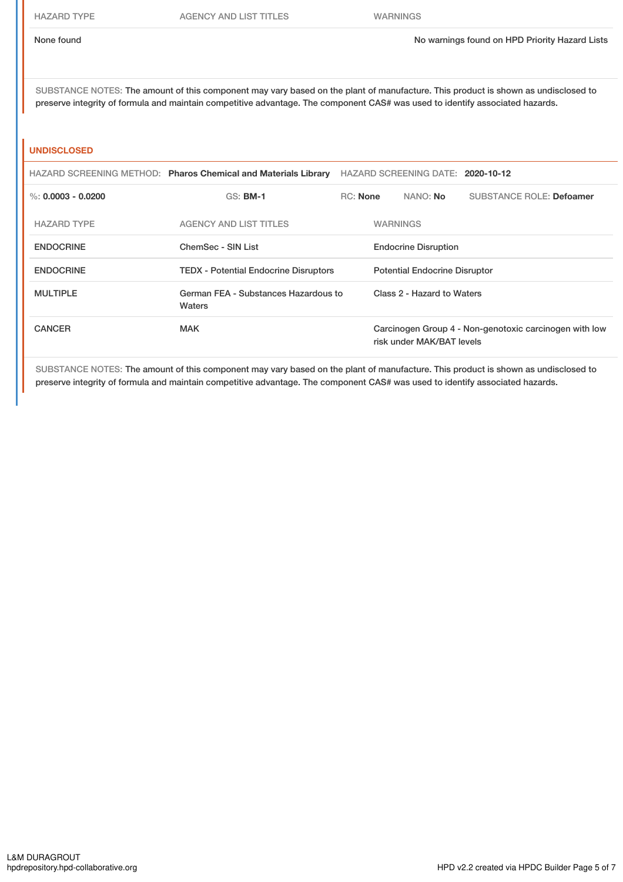SUBSTANCE NOTES: The amount of this component may vary based on the plant of manufacture. This product is shown as undisclosed to preserve integrity of formula and maintain competitive advantage. The component CAS# was used to identify associated hazards.

#### **UNDISCLOSED**

|                    | HAZARD SCREENING METHOD: Pharos Chemical and Materials Library | HAZARD SCREENING DATE: 2020-10-12 |                                      |                           |                                                        |  |
|--------------------|----------------------------------------------------------------|-----------------------------------|--------------------------------------|---------------------------|--------------------------------------------------------|--|
| %: 0.0003 - 0.0200 | $GS:$ BM-1                                                     | $RC:$ None                        |                                      | NANO: No                  | <b>SUBSTANCE ROLE: Defoamer</b>                        |  |
| <b>HAZARD TYPE</b> | <b>AGENCY AND LIST TITLES</b>                                  |                                   | <b>WARNINGS</b>                      |                           |                                                        |  |
| <b>ENDOCRINE</b>   | ChemSec - SIN List                                             |                                   | <b>Endocrine Disruption</b>          |                           |                                                        |  |
| <b>ENDOCRINE</b>   | <b>TEDX</b> - Potential Endocrine Disruptors                   |                                   | <b>Potential Endocrine Disruptor</b> |                           |                                                        |  |
| <b>MULTIPLE</b>    | German FEA - Substances Hazardous to<br>Waters                 |                                   | Class 2 - Hazard to Waters           |                           |                                                        |  |
| <b>CANCER</b>      | <b>MAK</b>                                                     |                                   |                                      | risk under MAK/BAT levels | Carcinogen Group 4 - Non-genotoxic carcinogen with low |  |

SUBSTANCE NOTES: The amount of this component may vary based on the plant of manufacture. This product is shown as undisclosed to preserve integrity of formula and maintain competitive advantage. The component CAS# was used to identify associated hazards.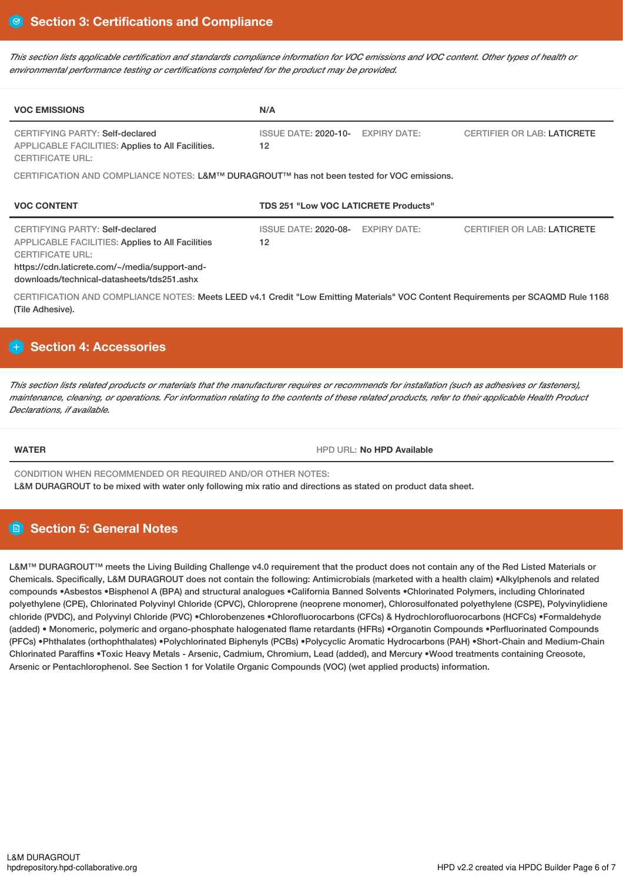This section lists applicable certification and standards compliance information for VOC emissions and VOC content. Other types of health or *environmental performance testing or certifications completed for the product may be provided.*

| <b>VOC EMISSIONS</b>                                                                                                                                                                                                  | N/A                                                                                            |  |  |  |  |  |
|-----------------------------------------------------------------------------------------------------------------------------------------------------------------------------------------------------------------------|------------------------------------------------------------------------------------------------|--|--|--|--|--|
| CERTIFYING PARTY: Self-declared<br>APPLICABLE FACILITIES: Applies to All Facilities.<br><b>CERTIFICATE URL:</b>                                                                                                       | <b>ISSUE DATE: 2020-10-</b><br><b>EXPIRY DATE:</b><br><b>CERTIFIER OR LAB: LATICRETE</b><br>12 |  |  |  |  |  |
| CERTIFICATION AND COMPLIANCE NOTES: L&M™ DURAGROUT™ has not been tested for VOC emissions.                                                                                                                            |                                                                                                |  |  |  |  |  |
| <b>VOC CONTENT</b>                                                                                                                                                                                                    | <b>TDS 251 "Low VOC LATICRETE Products"</b>                                                    |  |  |  |  |  |
| CERTIFYING PARTY: Self-declared<br><b>APPLICABLE FACILITIES: Applies to All Facilities</b><br><b>CERTIFICATE URL:</b><br>https://cdn.laticrete.com/~/media/support-and-<br>downloads/technical-datasheets/tds251.ashx | <b>ISSUE DATE: 2020-08-</b><br><b>EXPIRY DATE:</b><br><b>CERTIFIER OR LAB: LATICRETE</b><br>12 |  |  |  |  |  |
| CERTIFICATION AND COMPLIANCE NOTES: Meets LEED v4.1 Credit "Low Emitting Materials" VOC Content Requirements per SCAQMD Rule 1168                                                                                     |                                                                                                |  |  |  |  |  |

# **Section 4: Accessories**

This section lists related products or materials that the manufacturer requires or recommends for installation (such as adhesives or fasteners). maintenance, cleaning, or operations. For information relating to the contents of these related products, refer to their applicable Health Product *Declarations, if available.*

(Tile Adhesive).

**WATER WATER HPD WATER HPD Available** 

CONDITION WHEN RECOMMENDED OR REQUIRED AND/OR OTHER NOTES:

L&M DURAGROUT to be mixed with water only following mix ratio and directions as stated on product data sheet.

# **Section 5: General Notes**

L&M™ DURAGROUT™ meets the Living Building Challenge v4.0 requirement that the product does not contain any of the Red Listed Materials or Chemicals. Specifically, L&M DURAGROUT does not contain the following: Antimicrobials (marketed with a health claim) •Alkylphenols and related compounds •Asbestos •Bisphenol A (BPA) and structural analogues •California Banned Solvents •Chlorinated Polymers, including Chlorinated polyethylene (CPE), Chlorinated Polyvinyl Chloride (CPVC), Chloroprene (neoprene monomer), Chlorosulfonated polyethylene (CSPE), Polyvinylidiene chloride (PVDC), and Polyvinyl Chloride (PVC) •Chlorobenzenes •Chlorofluorocarbons (CFCs) & Hydrochlorofluorocarbons (HCFCs) •Formaldehyde (added) • Monomeric, polymeric and organo-phosphate halogenated flame retardants (HFRs) •Organotin Compounds •Perfluorinated Compounds (PFCs) •Phthalates (orthophthalates) •Polychlorinated Biphenyls (PCBs) •Polycyclic Aromatic Hydrocarbons (PAH) •Short-Chain and Medium-Chain Chlorinated Paraffins •Toxic Heavy Metals - Arsenic, Cadmium, Chromium, Lead (added), and Mercury •Wood treatments containing Creosote, Arsenic or Pentachlorophenol. See Section 1 for Volatile Organic Compounds (VOC) (wet applied products) information.